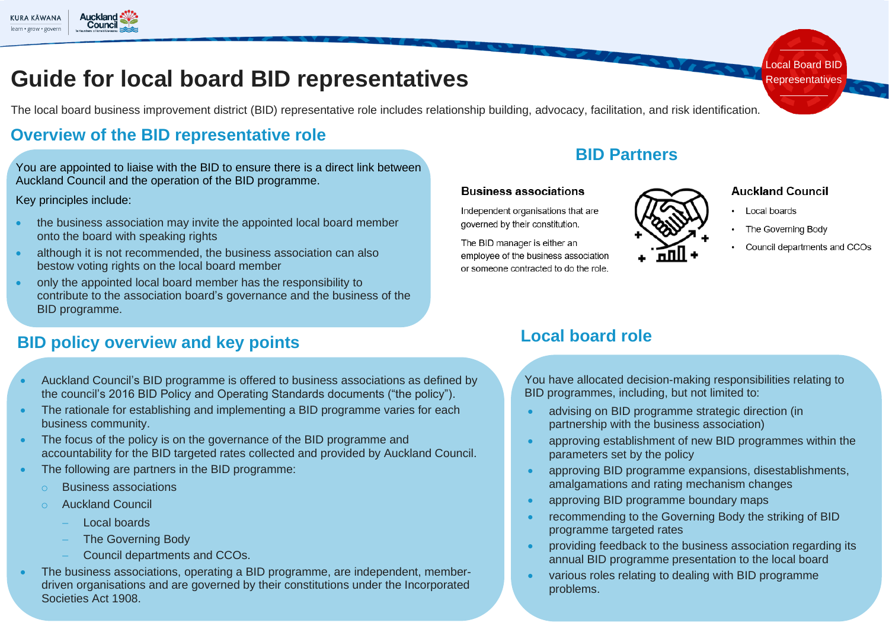

# **Guide for local board BID representatives**

The local board business improvement district (BID) representative role includes relationship building, advocacy, facilitation, and risk identification.

### **Overview of the BID representative role**

You are appointed to liaise with the BID to ensure there is a direct link between Auckland Council and the operation of the BID programme.

Key principles include:

- the business association may invite the appointed local board member onto the board with speaking rights
- although it is not recommended, the business association can also bestow voting rights on the local board member
- only the appointed local board member has the responsibility to contribute to the association board's governance and the business of the BID programme.

### **BID policy overview and key points**

- Auckland Council's BID programme is offered to business associations as defined by the council's 2016 BID Policy and Operating Standards documents ("the policy").
- The rationale for establishing and implementing a BID programme varies for each business community.
- The focus of the policy is on the governance of the BID programme and accountability for the BID targeted rates collected and provided by Auckland Council.
- The following are partners in the BID programme:
	- **Business associations**
	- **Auckland Council** 
		- − Local boards
		- − The Governing Body
		- − Council departments and CCOs.
- The business associations, operating a BID programme, are independent, memberdriven organisations and are governed by their constitutions under the Incorporated Societies Act 1908.

### **BID Partners**

#### **Rusiness associations**

Independent organisations that are governed by their constitution.

The BID manager is either an employee of the business association or someone contracted to do the role

#### **Auckland Council**

- Local boards
- The Governing Body
- Council departments and CCOs

Local Board BID Representatives

### **Local board role**

You have allocated decision-making responsibilities relating to BID programmes, including, but not limited to:

- advising on BID programme strategic direction (in partnership with the business association)
- approving establishment of new BID programmes within the parameters set by the policy
- approving BID programme expansions, disestablishments, amalgamations and rating mechanism changes
- approving BID programme boundary maps
- recommending to the Governing Body the striking of BID programme targeted rates
- providing feedback to the business association regarding its annual BID programme presentation to the local board
- various roles relating to dealing with BID programme problems.